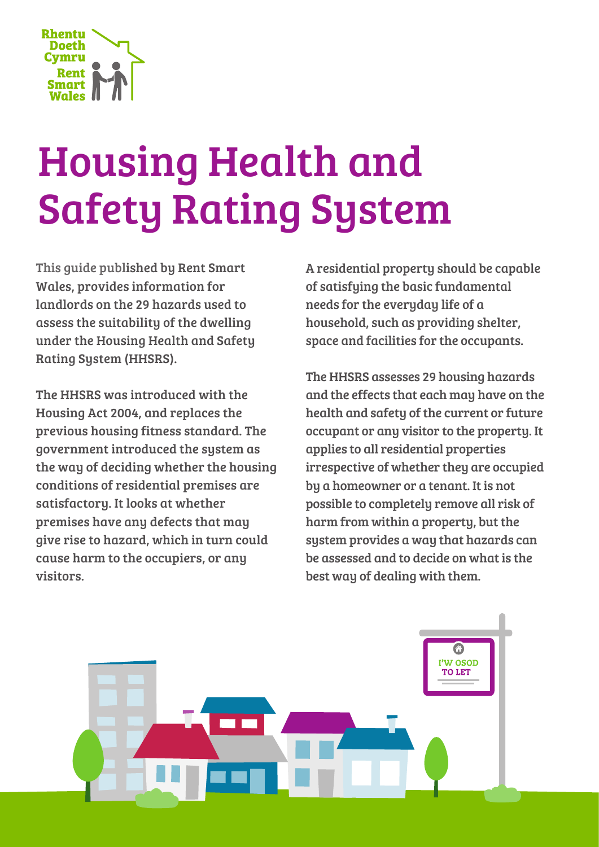

# Housing Health and Safety Rating System

This guide published by Rent Smart Wales, provides information for landlords on the 29 hazards used to assess the suitability of the dwelling under the Housing Health and Safety Rating System (HHSRS).

The HHSRS was introduced with the Housing Act 2004, and replaces the previous housing fitness standard. The government introduced the system as the way of deciding whether the housing conditions of residential premises are satisfactory. It looks at whether premises have any defects that may give rise to hazard, which in turn could cause harm to the occupiers, or any visitors.

A residential property should be capable of satisfying the basic fundamental needs for the everyday life of a household, such as providing shelter, space and facilities for the occupants.

The HHSRS assesses 29 housing hazards and the effects that each may have on the health and safety of the current or future occupant or any visitor to the property. It applies to all residential properties irrespective of whether they are occupied by a homeowner or a tenant. It is not possible to completely remove all risk of harm from within a property, but the system provides a way that hazards can be assessed and to decide on what is the best way of dealing with them.

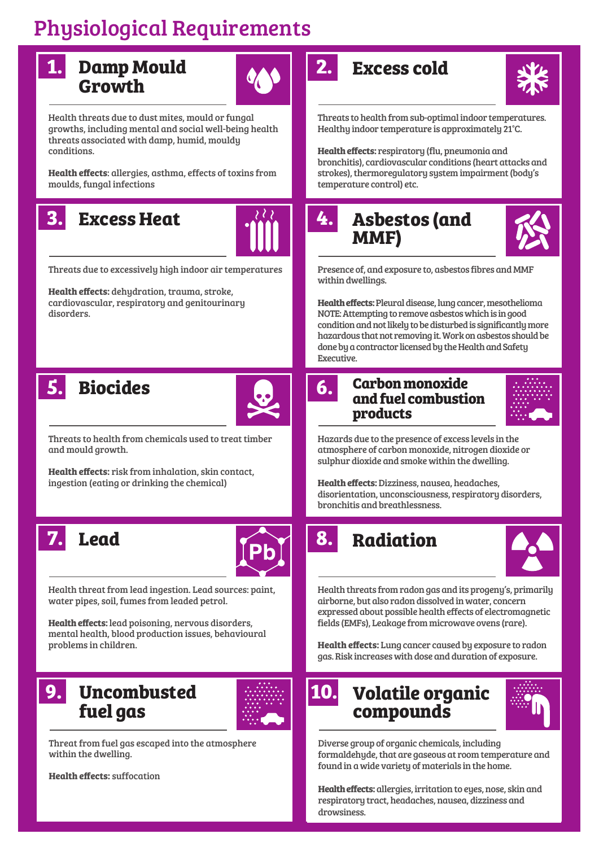## Physiological Requirements



# **Growth**



Health threats due to dust mites, mould or fungal growths, including mental and social well-being health threats associated with damp, humid, mouldy conditions.

**Health effects**: allergies, asthma, effects of toxins from moulds, fungal infections

## **Excess Heat 3. 4.**



Threats due to excessively high indoor air temperatures

**Health effects:** dehydration, trauma, stroke, cardiovascular, respiratory and genitourinary disorders.





Threats to health from chemicals used to treat timber and mould growth.

**Health effects:** risk from inhalation, skin contact, ingestion (eating or drinking the chemical)





Health threat from lead ingestion. Lead sources: paint, water pipes, soil, fumes from leaded petrol.

**Health effects:** lead poisoning, nervous disorders, mental health, blood production issues, behavioural problems in children.

## **Uncombusted 9. 10.fuel gas**



Threat from fuel gas escaped into the atmosphere within the dwelling.

**Health effects:** suffocation

## **Damp Mould 1. 2. Excess cold**



Threats to health from sub-optimal indoor temperatures. Healthy indoor temperature is approximately 21°C.

**Health effects:** respiratory (flu, pneumonia and bronchitis), cardiovascular conditions (heart attacks and strokes), thermoregulatory system impairment (body's temperature control) etc.

## **Asbestos (and MMF)**



Presence of, and exposure to, asbestos fibres and MMF within dwellings.

**Health effects:** Pleural disease, lung cancer, mesothelioma NOTE: Attempting to remove asbestos which is in good condition and not likely to be disturbed is significantly more hazardous that not removing it. Work on asbestos should be done by a contractor licensed by the Health and Safety Executive.

#### **Carbon monoxide and fuel combustion products**



Hazards due to the presence of excess levels in the atmosphere of carbon monoxide, nitrogen dioxide or sulphur dioxide and smoke within the dwelling.

**Health effects:** Dizziness, nausea, headaches, disorientation, unconsciousness, respiratory disorders, bronchitis and breathlessness.



Health threats from radon gas and its progeny's, primarily airborne, but also radon dissolved in water, concern expressed about possible health effects of electromagnetic fields (EMFs), Leakage from microwave ovens (rare).

**Health effects:** Lung cancer caused by exposure to radon gas. Risk increases with dose and duration of exposure.

**Volatile organic** 

**compounds**



Diverse group of organic chemicals, including formaldehyde, that are gaseous at room temperature and found in a wide variety of materials in the home.

**Health effects:** allergies, irritation to eyes, nose, skin and respiratory tract, headaches, nausea, dizziness and drowsiness.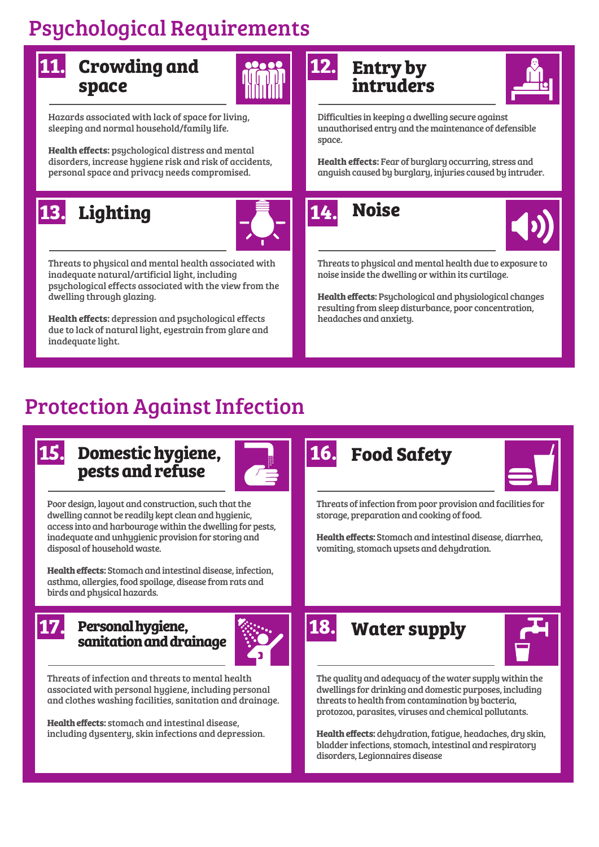## Psychological Requirements

| <b>11.</b> Crowding and | $\left \frac{1}{\sin\theta}\right $ 12. |  |
|-------------------------|-----------------------------------------|--|
| space                   |                                         |  |



Hazards associated with lack of space for living, sleeping and normal household/family life.

**Health effects:** psychological distress and mental disorders, increase hygiene risk and risk of accidents, personal space and privacy needs compromised.

## **Lighting 13. 14. Noise**



Threats to physical and mental health associated with inadequate natural/artificial light, including psychological effects associated with the view from the dwelling through glazing.

**Health effects:** depression and psychological effects due to lack of natural light, eyestrain from glare and inadequate light.

#### **Entry by intruders**



Difficulties in keeping a dwelling secure against unauthorised entry and the maintenance of defensible space.

**Health effects:** Fear of burglary occurring, stress and anguish caused by burglary, injuries caused by intruder.



Threats to physical and mental health due to exposure to noise inside the dwelling or within its curtilage.

**Health effects:** Psychological and physiological changes resulting from sleep disturbance, poor concentration, headaches and anxiety.

## Protection Against Infection



#### **Domestic hygiene, 15. 16. Food Safety pests and refuse**



Poor design, layout and construction, such that the dwelling cannot be readily kept clean and hygienic, access into and harbourage within the dwelling for pests, inadequate and unhygienic provision for storing and disposal of household waste.

**Health effects:** Stomach and intestinal disease, infection, asthma, allergies, food spoilage, disease from rats and birds and physical hazards.

#### **Personal hygiene, sanitation and drainage**



Threats of infection and threats to mental health associated with personal hygiene, including personal and clothes washing facilities, sanitation and drainage.

**Health effects:** stomach and intestinal disease, including dysentery, skin infections and depression.



Threats of infection from poor provision and facilities for storage, preparation and cooking of food.

**Health effects:** Stomach and intestinal disease, diarrhea, vomiting, stomach upsets and dehydration.

## **17. 18. Water supply**



The quality and adequacy of the water supply within the dwellings for drinking and domestic purposes, including threats to health from contamination by bacteria, protozoa, parasites, viruses and chemical pollutants.

**Health effects:** dehydration, fatigue, headaches, dry skin, bladder infections, stomach, intestinal and respiratory disorders, Legionnaires disease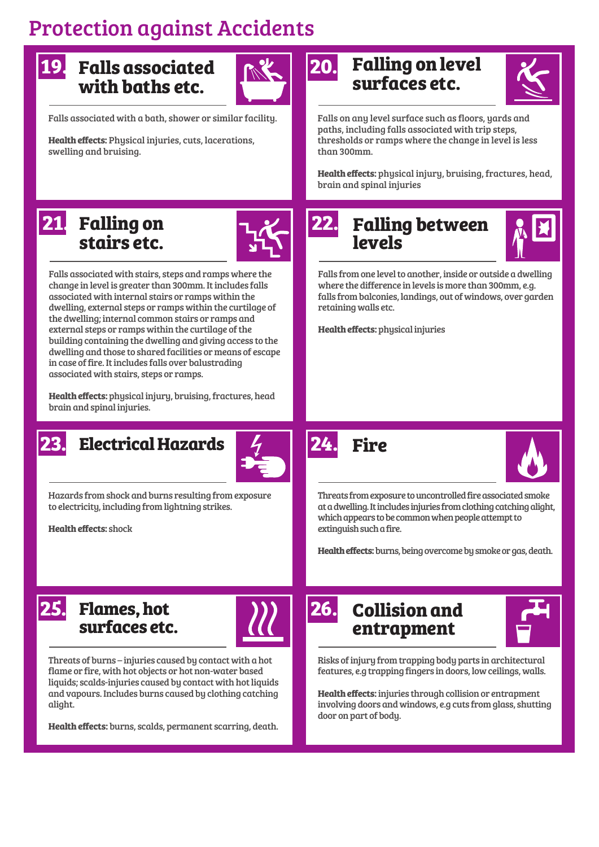## Protection against Accidents

## **Falls associated 19. 20. with baths etc.**



Falls associated with a bath, shower or similar facility.

**Health effects:** Physical injuries, cuts, lacerations, swelling and bruising.

### **Falling on level surfaces etc.**



Falls on any level surface such as floors, yards and paths, including falls associated with trip steps, thresholds or ramps where the change in level is less than 300mm.

**Health effects:** physical injury, bruising, fractures, head, brain and spinal injuries

## **21. Falling on 1.2. 22. stairs etc.**



Falls associated with stairs, steps and ramps where the change in level is greater than 300mm. It includes falls associated with internal stairs or ramps within the dwelling, external steps or ramps within the curtilage of the dwelling; internal common stairs or ramps and external steps or ramps within the curtilage of the building containing the dwelling and giving access to the dwelling and those to shared facilities or means of escape in case of fire. It includes falls over balustrading associated with stairs, steps or ramps.

**Health effects:** physical injury, bruising, fractures, head brain and spinal injuries.



## **Electrical Hazards 23. 24. Fire**



Hazards from shock and burns resulting from exposure to electricity, including from lightning strikes.

**Health effects:** shock



#### **Falling between levels**



Falls from one level to another, inside or outside a dwelling where the difference in levels is more than 300mm, e.g. falls from balconies, landings, out of windows, over garden retaining walls etc.

**Health effects:** physical injuries





Threats from exposure to uncontrolled fire associated smoke at a dwelling. It includes injuries from clothing catching alight, which appears to be common when people attempt to extinguish such a fire.

**Health effects:** burns, being overcome by smoke or gas, death.



#### **Flames, hot 25. 26. surfaces etc.**



Threats of burns – injuries caused by contact with a hot flame or fire, with hot objects or hot non-water based liquids; scalds-injuries caused by contact with hot liquids and vapours. Includes burns caused by clothing catching alight.

**Health effects:** burns, scalds, permanent scarring, death.

## **Collision and entrapment**



Risks of injury from trapping body parts in architectural features, e.g trapping fingers in doors, low ceilings, walls.

**Health effects:** injuries through collision or entrapment involving doors and windows, e.g cuts from glass, shutting door on part of body.